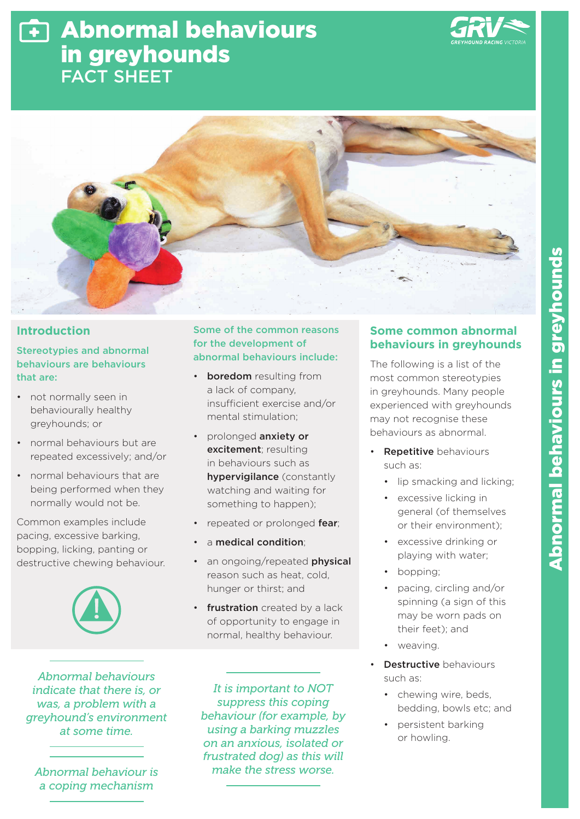# Abnormal behaviours in greyhounds FACT SHEET





## **Introduction**

# Stereotypies and abnormal behaviours are behaviours that are:

- not normally seen in behaviourally healthy greyhounds; or
- normal behaviours but are repeated excessively; and/or
- normal behaviours that are being performed when they normally would not be.

Common examples include pacing, excessive barking, bopping, licking, panting or destructive chewing behaviour.



*Abnormal behaviours indicate that there is, or was, a problem with a greyhound's environment at some time.* 

*Abnormal behaviour is a coping mechanism* 

#### Some of the common reasons for the development of abnormal behaviours include:

- **boredom** resulting from a lack of company, insufficient exercise and/or mental stimulation;
- prolonged anxiety or excitement; resulting in behaviours such as hypervigilance (constantly watching and waiting for something to happen);
- repeated or prolonged fear:
- a medical condition;
- an ongoing/repeated physical reason such as heat, cold, hunger or thirst; and
- frustration created by a lack of opportunity to engage in normal, healthy behaviour.

*It is important to NOT suppress this coping behaviour (for example, by using a barking muzzles on an anxious, isolated or frustrated dog) as this will make the stress worse.*

# **Some common abnormal behaviours in greyhounds**

The following is a list of the most common stereotypies in greyhounds. Many people experienced with greyhounds may not recognise these behaviours as abnormal.

- **Repetitive** behaviours such as:
	- lip smacking and licking;
	- excessive licking in general (of themselves or their environment);
	- excessive drinking or playing with water;
	- bopping;
	- pacing, circling and/or spinning (a sign of this may be worn pads on their feet); and
	- weaving.
- **Destructive behaviours** such as:
	- chewing wire, beds, bedding, bowls etc; and
	- persistent barking or howling.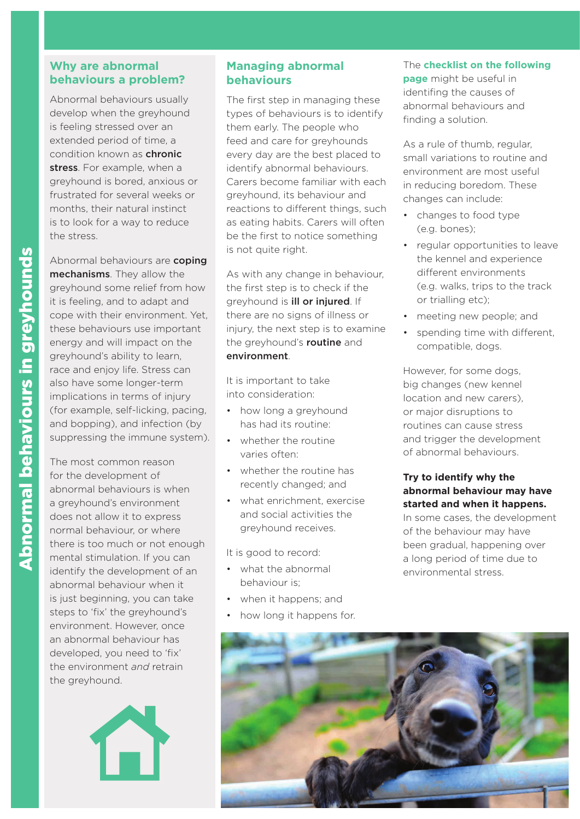# **Why are abnormal behaviours a problem?**

Abnormal behaviours usually develop when the greyhound is feeling stressed over an extended period of time, a condition known as **chronic** stress. For example, when a greyhound is bored, anxious or frustrated for several weeks or months, their natural instinct is to look for a way to reduce the stress.

Abnormal behaviours are coping mechanisms. They allow the greyhound some relief from how it is feeling, and to adapt and cope with their environment. Yet, these behaviours use important energy and will impact on the greyhound's ability to learn, race and enjoy life. Stress can also have some longer-term implications in terms of injury (for example, self-licking, pacing, and bopping), and infection (by suppressing the immune system).

The most common reason for the development of abnormal behaviours is when a greyhound's environment does not allow it to express normal behaviour, or where there is too much or not enough mental stimulation. If you can identify the development of an abnormal behaviour when it is just beginning, you can take steps to 'fix' the greyhound's environment. However, once an abnormal behaviour has developed, you need to 'fix' the environment *and* retrain the greyhound.



### **Managing abnormal behaviours**

The first step in managing these types of behaviours is to identify them early. The people who feed and care for greyhounds every day are the best placed to identify abnormal behaviours. Carers become familiar with each greyhound, its behaviour and reactions to different things, such as eating habits. Carers will often be the first to notice something is not quite right.

As with any change in behaviour, the first step is to check if the greyhound is **ill or injured**. If there are no signs of illness or injury, the next step is to examine the greyhound's **routine** and environment.

It is important to take into consideration:

- how long a greyhound has had its routine:
- whether the routine varies often:
- whether the routine has recently changed; and
- what enrichment, exercise and social activities the greyhound receives.

It is good to record:

- what the abnormal behaviour is;
- when it happens; and
- how long it happens for.

# The **checklist on the following**

**page** might be useful in identifing the causes of abnormal behaviours and finding a solution.

As a rule of thumb, regular, small variations to routine and environment are most useful in reducing boredom. These changes can include:

- changes to food type (e.g. bones);
- regular opportunities to leave the kennel and experience different environments (e.g. walks, trips to the track or trialling etc);
- meeting new people; and
- spending time with different, compatible, dogs.

However, for some dogs, big changes (new kennel location and new carers), or major disruptions to routines can cause stress and trigger the development of abnormal behaviours.

#### **Try to identify why the abnormal behaviour may have started and when it happens.**

In some cases, the development of the behaviour may have been gradual, happening over a long period of time due to environmental stress.

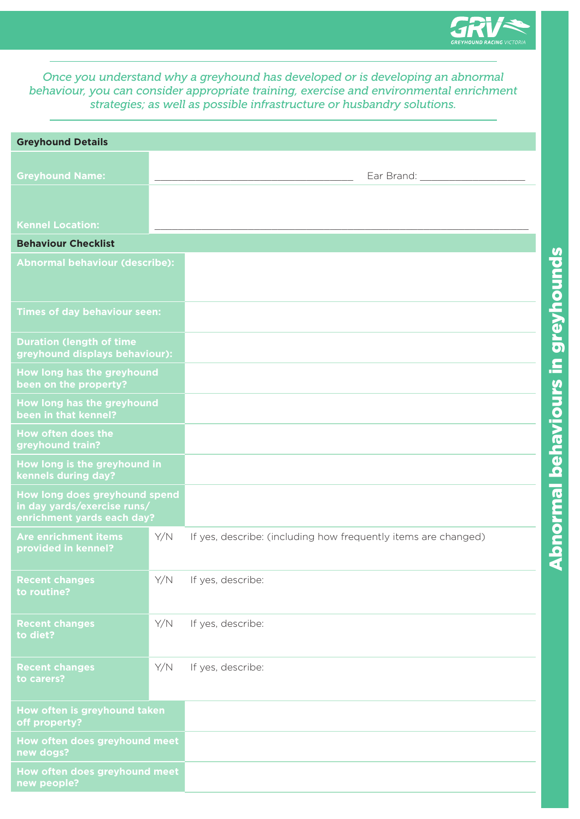

*Once you understand why a greyhound has developed or is developing an abnormal behaviour, you can consider appropriate training, exercise and environmental enrichment strategies; as well as possible infrastructure or husbandry solutions.*

| <b>Greyhound Details</b>                                                                   |     |                                                                |
|--------------------------------------------------------------------------------------------|-----|----------------------------------------------------------------|
|                                                                                            |     |                                                                |
| <b>Greyhound Name:</b>                                                                     |     | Ear Brand:                                                     |
|                                                                                            |     |                                                                |
| <b>Kennel Location:</b>                                                                    |     |                                                                |
| <b>Behaviour Checklist</b>                                                                 |     |                                                                |
| <b>Abnormal behaviour (describe):</b>                                                      |     |                                                                |
| <b>Times of day behaviour seen:</b>                                                        |     |                                                                |
| <b>Duration (length of time</b><br>greyhound displays behaviour):                          |     |                                                                |
| How long has the greyhound<br>been on the property?                                        |     |                                                                |
| How long has the greyhound<br>been in that kennel?                                         |     |                                                                |
| How often does the<br>greyhound train?                                                     |     |                                                                |
| How long is the greyhound in<br>kennels during day?                                        |     |                                                                |
| How long does greyhound spend<br>in day yards/exercise runs/<br>enrichment yards each day? |     |                                                                |
| <b>Are enrichment items</b><br>provided in kennel?                                         | Y/N | If yes, describe: (including how frequently items are changed) |
| <b>Recent changes</b><br>to routine?                                                       | Y/N | If yes, describe:                                              |
| <b>Recent changes</b><br>to diet?                                                          | Y/N | If yes, describe:                                              |
| <b>Recent changes</b><br>to carers?                                                        | Y/N | If yes, describe:                                              |
| How often is greyhound taken<br>off property?                                              |     |                                                                |
| How often does greyhound meet<br>new dogs?                                                 |     |                                                                |
| How often does greyhound meet<br>new people?                                               |     |                                                                |